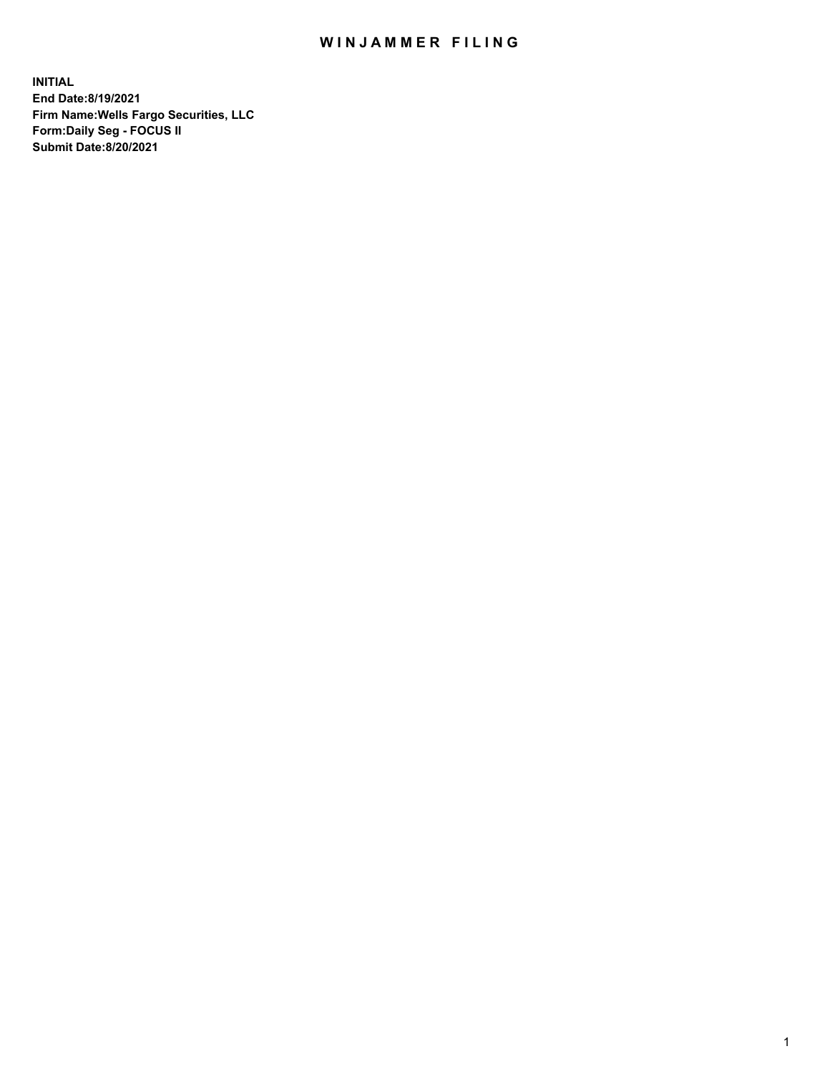## WIN JAMMER FILING

**INITIAL End Date:8/19/2021 Firm Name:Wells Fargo Securities, LLC Form:Daily Seg - FOCUS II Submit Date:8/20/2021**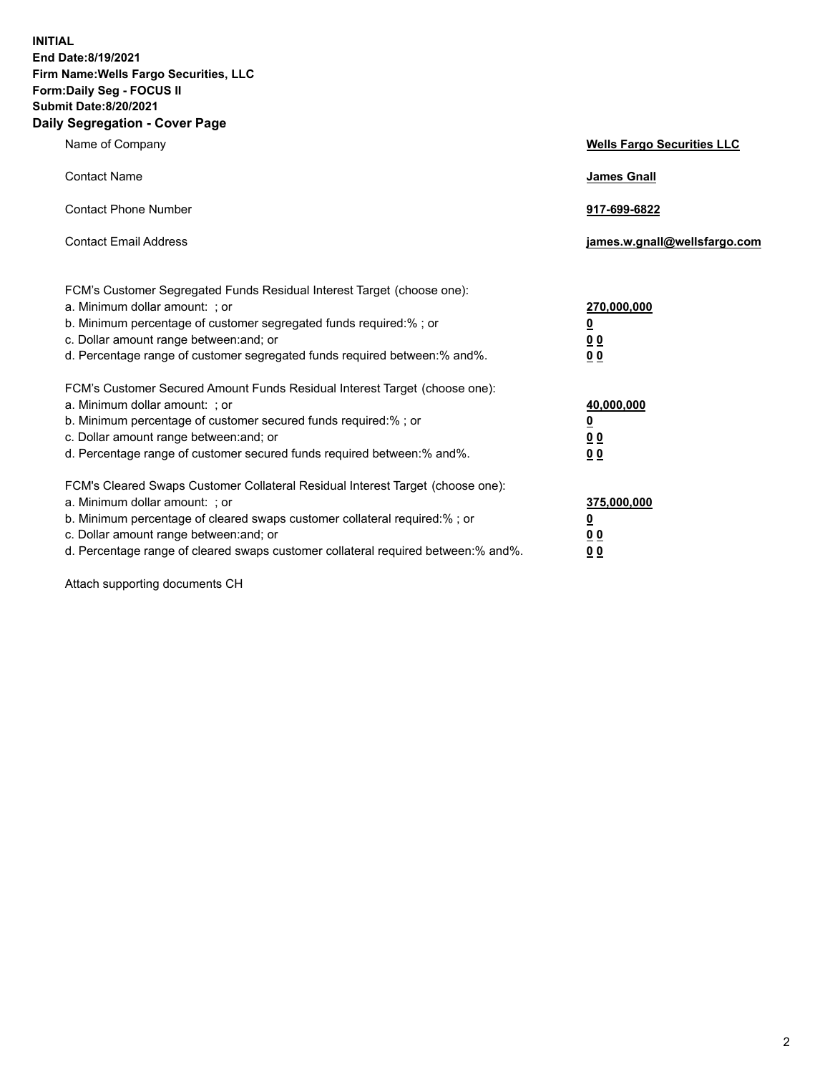**INITIAL End Date:8/19/2021 Firm Name:Wells Fargo Securities, LLC Form:Daily Seg - FOCUS II Submit Date:8/20/2021 Daily Segregation - Cover Page**

| Name of Company                                                                                                                                                                                                                                                                                                                | <b>Wells Fargo Securities LLC</b>                          |
|--------------------------------------------------------------------------------------------------------------------------------------------------------------------------------------------------------------------------------------------------------------------------------------------------------------------------------|------------------------------------------------------------|
| <b>Contact Name</b>                                                                                                                                                                                                                                                                                                            | <b>James Gnall</b>                                         |
| <b>Contact Phone Number</b>                                                                                                                                                                                                                                                                                                    | 917-699-6822                                               |
| <b>Contact Email Address</b>                                                                                                                                                                                                                                                                                                   | james.w.gnall@wellsfargo.com                               |
| FCM's Customer Segregated Funds Residual Interest Target (choose one):<br>a. Minimum dollar amount: ; or<br>b. Minimum percentage of customer segregated funds required:% ; or<br>c. Dollar amount range between: and; or<br>d. Percentage range of customer segregated funds required between:% and%.                         | 270,000,000<br><u>0</u><br><u>00</u><br>0 <sub>0</sub>     |
| FCM's Customer Secured Amount Funds Residual Interest Target (choose one):<br>a. Minimum dollar amount: ; or<br>b. Minimum percentage of customer secured funds required:% ; or<br>c. Dollar amount range between: and; or<br>d. Percentage range of customer secured funds required between: % and %.                         | 40,000,000<br><u>0</u><br>0 <sub>0</sub><br>0 <sub>0</sub> |
| FCM's Cleared Swaps Customer Collateral Residual Interest Target (choose one):<br>a. Minimum dollar amount: ; or<br>b. Minimum percentage of cleared swaps customer collateral required:% ; or<br>c. Dollar amount range between: and; or<br>d. Percentage range of cleared swaps customer collateral required between:% and%. | 375,000,000<br><u>0</u><br>0 Q<br><u>00</u>                |

Attach supporting documents CH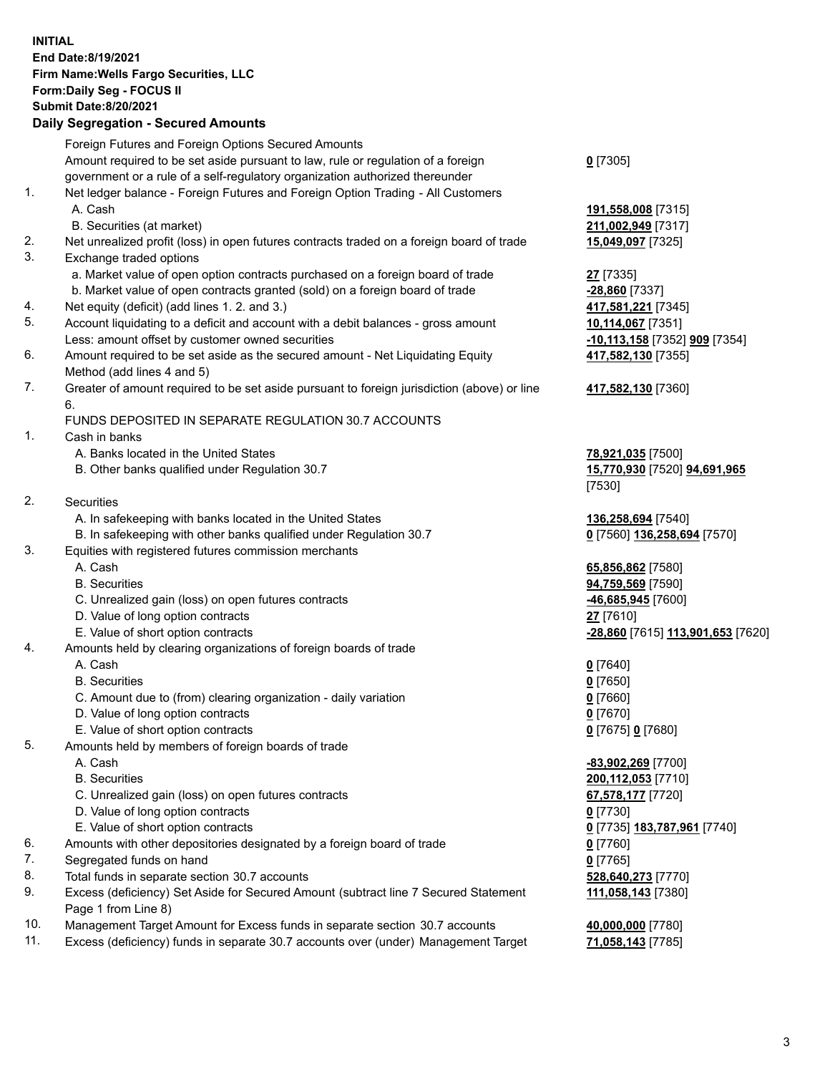**INITIAL End Date:8/19/2021 Firm Name:Wells Fargo Securities, LLC Form:Daily Seg - FOCUS II Submit Date:8/20/2021**

## **Daily Segregation - Secured Amounts**

|    | Foreign Futures and Foreign Options Secured Amounts                                         |                                   |
|----|---------------------------------------------------------------------------------------------|-----------------------------------|
|    | Amount required to be set aside pursuant to law, rule or regulation of a foreign            | $0$ [7305]                        |
|    | government or a rule of a self-regulatory organization authorized thereunder                |                                   |
| 1. | Net ledger balance - Foreign Futures and Foreign Option Trading - All Customers             |                                   |
|    | A. Cash                                                                                     | 191,558,008 [7315]                |
|    | B. Securities (at market)                                                                   | 211,002,949 [7317]                |
| 2. | Net unrealized profit (loss) in open futures contracts traded on a foreign board of trade   | 15,049,097 [7325]                 |
| 3. | Exchange traded options                                                                     |                                   |
|    | a. Market value of open option contracts purchased on a foreign board of trade              | <b>27</b> [7335]                  |
|    | b. Market value of open contracts granted (sold) on a foreign board of trade                | -28,860 [7337]                    |
| 4. | Net equity (deficit) (add lines 1. 2. and 3.)                                               | 417,581,221 [7345]                |
| 5. | Account liquidating to a deficit and account with a debit balances - gross amount           | 10,114,067 [7351]                 |
|    | Less: amount offset by customer owned securities                                            | -10,113,158 [7352] 909 [7354]     |
| 6. | Amount required to be set aside as the secured amount - Net Liquidating Equity              | 417,582,130 [7355]                |
|    | Method (add lines 4 and 5)                                                                  |                                   |
| 7. | Greater of amount required to be set aside pursuant to foreign jurisdiction (above) or line | 417,582,130 [7360]                |
|    | 6.                                                                                          |                                   |
|    | FUNDS DEPOSITED IN SEPARATE REGULATION 30.7 ACCOUNTS                                        |                                   |
| 1. | Cash in banks                                                                               |                                   |
|    | A. Banks located in the United States                                                       | 78,921,035 [7500]                 |
|    | B. Other banks qualified under Regulation 30.7                                              | 15,770,930 [7520] 94,691,965      |
|    |                                                                                             | [7530]                            |
| 2. | Securities                                                                                  |                                   |
|    | A. In safekeeping with banks located in the United States                                   | 136,258,694 [7540]                |
|    | B. In safekeeping with other banks qualified under Regulation 30.7                          | 0 [7560] 136,258,694 [7570]       |
| 3. | Equities with registered futures commission merchants                                       |                                   |
|    | A. Cash                                                                                     | 65,856,862 [7580]                 |
|    | <b>B.</b> Securities                                                                        | 94,759,569 [7590]                 |
|    | C. Unrealized gain (loss) on open futures contracts                                         | -46,685,945 [7600]                |
|    | D. Value of long option contracts                                                           | 27 [7610]                         |
|    | E. Value of short option contracts                                                          | -28,860 [7615] 113,901,653 [7620] |
| 4. | Amounts held by clearing organizations of foreign boards of trade                           |                                   |
|    | A. Cash                                                                                     | $0$ [7640]                        |
|    | <b>B.</b> Securities                                                                        | $0$ [7650]                        |
|    | C. Amount due to (from) clearing organization - daily variation                             | $0$ [7660]                        |
|    | D. Value of long option contracts                                                           | $0$ [7670]                        |
|    | E. Value of short option contracts                                                          | 0 [7675] 0 [7680]                 |
| 5. | Amounts held by members of foreign boards of trade                                          |                                   |
|    | A. Cash                                                                                     | -83,902,269 [7700]                |
|    | <b>B.</b> Securities                                                                        | 200,112,053 [7710]                |
|    | C. Unrealized gain (loss) on open futures contracts                                         | 67,578,177 [7720]                 |
|    | D. Value of long option contracts                                                           | $0$ [7730]                        |
|    | E. Value of short option contracts                                                          | 0 [7735] 183,787,961 [7740]       |
| 6. | Amounts with other depositories designated by a foreign board of trade                      | $0$ [7760]                        |
| 7. | Segregated funds on hand                                                                    | $0$ [7765]                        |
| 8. | Total funds in separate section 30.7 accounts                                               | 528,640,273 [7770]                |
| 9. | Excess (deficiency) Set Aside for Secured Amount (subtract line 7 Secured Statement         | 111,058,143 [7380]                |
|    | Page 1 from Line 8)                                                                         |                                   |

- 10. Management Target Amount for Excess funds in separate section 30.7 accounts **40,000,000** [7780]
- 11. Excess (deficiency) funds in separate 30.7 accounts over (under) Management Target **71,058,143** [7785]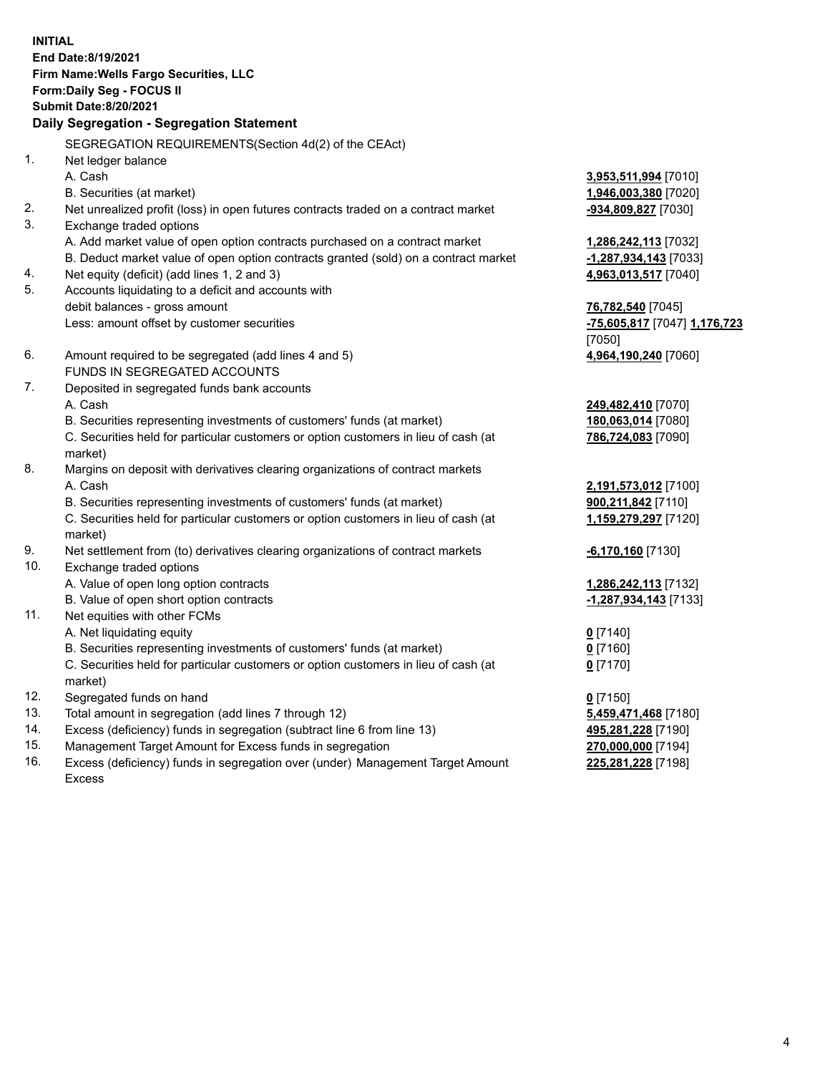**INITIAL End Date:8/19/2021 Firm Name:Wells Fargo Securities, LLC Form:Daily Seg - FOCUS II Submit Date:8/20/2021**

## **Daily Segregation - Segregation Statement**

SEGREGATION REQUIREMENTS(Section 4d(2) of the CEAct)

|     | OLONLOATION INLQUINLIVILIVI O(OCCIDII 40(Z) OI THE OLACI)                           |                              |
|-----|-------------------------------------------------------------------------------------|------------------------------|
| 1.  | Net ledger balance                                                                  |                              |
|     | A. Cash                                                                             | 3,953,511,994 [7010]         |
|     | B. Securities (at market)                                                           | 1,946,003,380 [7020]         |
| 2.  | Net unrealized profit (loss) in open futures contracts traded on a contract market  | -934,809,827 [7030]          |
| 3.  | Exchange traded options                                                             |                              |
|     | A. Add market value of open option contracts purchased on a contract market         | 1,286,242,113 [7032]         |
|     | B. Deduct market value of open option contracts granted (sold) on a contract market | -1,287,934,143 [7033]        |
| 4.  | Net equity (deficit) (add lines 1, 2 and 3)                                         | 4,963,013,517 [7040]         |
| 5.  | Accounts liquidating to a deficit and accounts with                                 |                              |
|     | debit balances - gross amount                                                       | 76,782,540 [7045]            |
|     | Less: amount offset by customer securities                                          | -75,605,817 [7047] 1,176,723 |
|     |                                                                                     | [7050]                       |
| 6.  | Amount required to be segregated (add lines 4 and 5)                                | 4,964,190,240 [7060]         |
|     | FUNDS IN SEGREGATED ACCOUNTS                                                        |                              |
| 7.  | Deposited in segregated funds bank accounts                                         |                              |
|     | A. Cash                                                                             | 249,482,410 [7070]           |
|     | B. Securities representing investments of customers' funds (at market)              | 180,063,014 [7080]           |
|     | C. Securities held for particular customers or option customers in lieu of cash (at | 786,724,083 [7090]           |
|     | market)                                                                             |                              |
| 8.  | Margins on deposit with derivatives clearing organizations of contract markets      |                              |
|     | A. Cash                                                                             | 2,191,573,012 [7100]         |
|     | B. Securities representing investments of customers' funds (at market)              | 900,211,842 [7110]           |
|     | C. Securities held for particular customers or option customers in lieu of cash (at | 1,159,279,297 [7120]         |
|     | market)                                                                             |                              |
| 9.  | Net settlement from (to) derivatives clearing organizations of contract markets     | $-6,170,160$ [7130]          |
| 10. | Exchange traded options                                                             |                              |
|     | A. Value of open long option contracts                                              | 1,286,242,113 [7132]         |
|     | B. Value of open short option contracts                                             | -1,287,934,143 [7133]        |
| 11. | Net equities with other FCMs                                                        |                              |
|     | A. Net liquidating equity                                                           | $0$ [7140]                   |
|     | B. Securities representing investments of customers' funds (at market)              | $0$ [7160]                   |
|     | C. Securities held for particular customers or option customers in lieu of cash (at | $0$ [7170]                   |
|     | market)                                                                             |                              |
| 12. | Segregated funds on hand                                                            | $0$ [7150]                   |
| 13. | Total amount in segregation (add lines 7 through 12)                                | 5,459,471,468 [7180]         |
| 14. | Excess (deficiency) funds in segregation (subtract line 6 from line 13)             | 495,281,228 [7190]           |
| 15. | Management Target Amount for Excess funds in segregation                            | 270,000,000 [7194]           |
| 16. | Excess (deficiency) funds in segregation over (under) Management Target Amount      | 225,281,228 [7198]           |
|     | Excess                                                                              |                              |